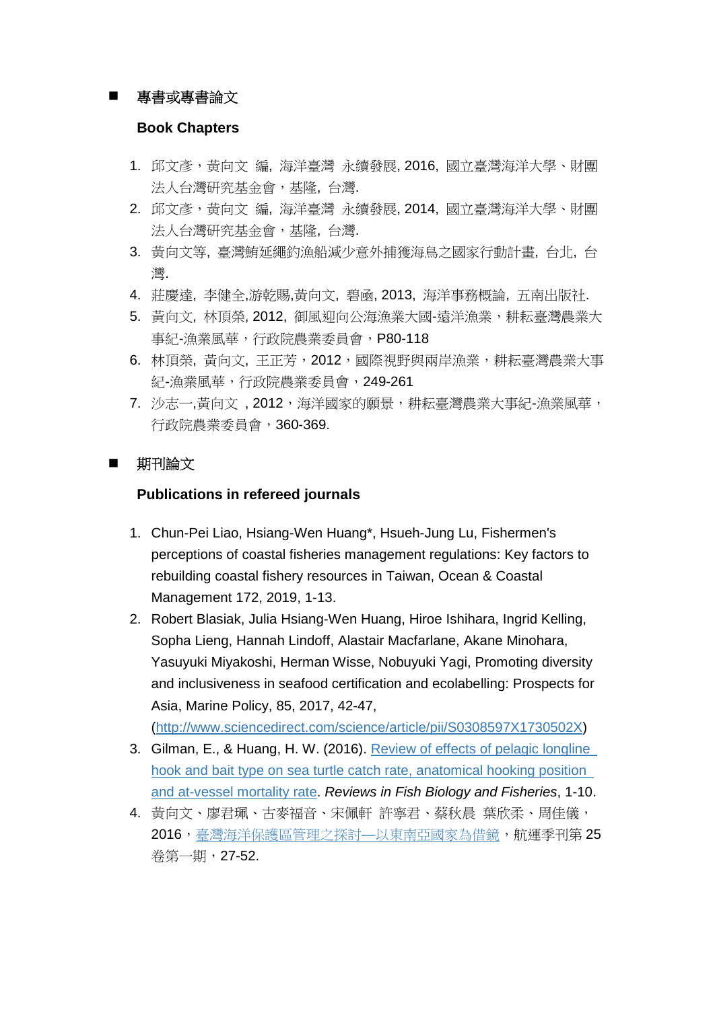## 專書或專書論文

#### **Book Chapters**

- 1. 邱文彥,黃向文 編, 海洋臺灣 永續發展, 2016, 國立臺灣海洋大學、財團 法人台灣研究基金會,基隆, 台灣.
- 2. 邱文彥,黃向文編,海洋臺灣永續發展,2014,國立臺灣海洋大學、財團 法人台灣研究基金會,基隆, 台灣.
- 3. 黃向文等, 臺灣鮪延繩釣漁船減少意外捕獲海鳥之國家行動計畫, 台北, 台 灣.
- 4. 莊慶達, 李健全,游乾賜,黃向文, 碧凾, 2013, 海洋事務概論, 五南出版社.
- 5. 黃向文, 林頂榮, 2012, 御風抑向公海漁業大國-遠洋漁業,耕耘臺灣農業大 事紀-漁業風華,行政院農業委員會,P80-118
- 6. 林頂榮, 黃向文, 王正芳, 2012, 國際視野與兩岸漁業, 耕耘臺灣農業大事 紀-漁業風華,行政院農業委員會,249-261
- 7. 沙志一,黃向文,2012,海洋國家的願景,耕耘臺灣農業大事紀-漁業風華, 行政院農業委員會,360-369.

### 期刊論文

### **Publications in refereed journals**

- 1. Chun-Pei Liao, Hsiang-Wen Huang\*, Hsueh-Jung Lu, Fishermen's perceptions of coastal fisheries management regulations: Key factors to rebuilding coastal fishery resources in Taiwan, Ocean & Coastal Management 172, 2019, 1-13.
- 2. Robert Blasiak, Julia Hsiang-Wen Huang, Hiroe Ishihara, Ingrid Kelling, Sopha Lieng, Hannah Lindoff, Alastair Macfarlane, Akane Minohara, Yasuyuki Miyakoshi, Herman Wisse, Nobuyuki Yagi, Promoting diversity and inclusiveness in seafood certification and ecolabelling: Prospects for Asia, Marine Policy, 85, 2017, 42-47,

(http://www.sciencedirect.com/science/article/pii/S0308597X1730502X)

- 3. Gilman, E., & Huang, H. W. (2016). [Review of effects of pelagic longline](http://link.springer.com/article/10.1007/s11160-016-9447-9)  [hook and bait type on sea turtle catch rate, anatomical hooking position](http://link.springer.com/article/10.1007/s11160-016-9447-9)  [and at-vessel mortality rate.](http://link.springer.com/article/10.1007/s11160-016-9447-9) *Reviews in Fish Biology and Fisheries*, 1-10.
- 4. 黃向文、廖君珮、古麥福音、宋佩軒 許寧君、蔡秋晨 葉欣柔、周佳儀, 2016[,臺灣海洋保護區管理之探討](http://www.mq.org.tw/upload/journal/prog/7c20a0b0_20160811.pdf)–以東南亞國家為借鏡,航運季刊第 25 卷第一期,27-52.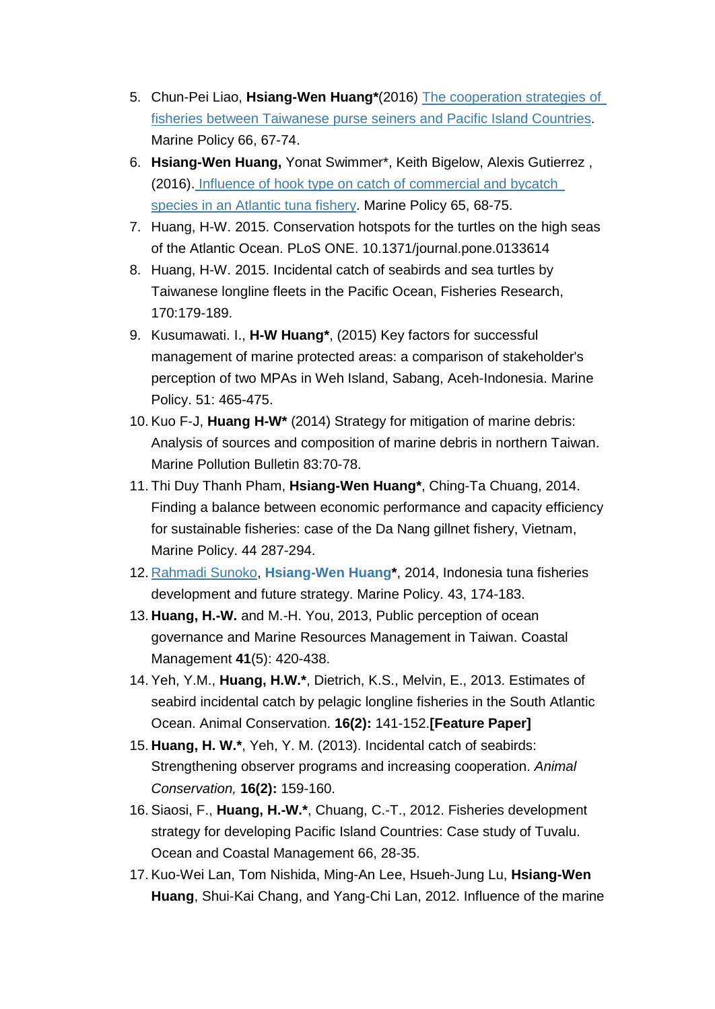- 5. Chun-Pei Liao, **Hsiang-Wen Huang\***(2016) [The cooperation strategies of](http://www.sciencedirect.com/science/article/pii/S0308597X16000233)  [fisheries between Taiwanese purse seiners and Pacific Island Countries.](http://www.sciencedirect.com/science/article/pii/S0308597X16000233) Marine Policy 66, 67-74.
- 6. **Hsiang-Wen Huang,** Yonat Swimmer\*, Keith Bigelow, Alexis Gutierrez , (2016). [Influence of hook type on catch of commercial and bycatch](http://www.sciencedirect.com/science/article/pii/S0308597X15003863)  [species in an Atlantic tuna fishery.](https://scholar.google.com.tw/citations?view_op=view_citation&hl=zh-TW&user=9NLA4I8AAAAJ&sortby=pubdate&citation_for_view=9NLA4I8AAAAJ:ZOYfmFL0FrgC) Marine Policy 65, 68-75.
- 7. Huang, H-W. 2015. Conservation hotspots for the turtles on the high seas of the Atlantic Ocean. PLoS ONE. 10.1371/journal.pone.0133614
- 8. Huang, H-W. 2015. Incidental catch of seabirds and sea turtles by Taiwanese longline fleets in the Pacific Ocean, Fisheries Research, 170:179-189.
- 9. Kusumawati. I., **H-W Huang\***, (2015) Key factors for successful management of marine protected areas: a comparison of stakeholder's perception of two MPAs in Weh Island, Sabang, Aceh-Indonesia. Marine Policy. 51: 465-475.
- 10. Kuo F-J, **Huang H-W\*** (2014) Strategy for mitigation of marine debris: Analysis of sources and composition of marine debris in northern Taiwan. Marine Pollution Bulletin 83:70-78.
- 11. Thi Duy Thanh Pham, **Hsiang-Wen Huang\***, Ching-Ta Chuang, 2014. Finding a balance between economic performance and capacity efficiency for sustainable fisheries: case of the Da Nang gillnet fishery, Vietnam, Marine Policy. 44 287-294.
- 12. [Rahmadi Sunoko,](http://www.sciencedirect.com/science/article/pii/S0308597X13001255) **[Hsiang-Wen Huang\\*](http://www.sciencedirect.com/science/article/pii/S0308597X13001255)**, 2014, Indonesia tuna fisheries development and future strategy. Marine Policy. 43, 174-183.
- 13. **Huang, H.-W.** and M.-H. You, 2013, Public perception of ocean governance and Marine Resources Management in Taiwan. Coastal Management **41**(5): 420-438.
- 14. Yeh, Y.M., **Huang, H.W.\***, Dietrich, K.S., Melvin, E., 2013. Estimates of seabird incidental catch by pelagic longline fisheries in the South Atlantic Ocean. Animal Conservation. **16(2):** 141-152.**[Feature Paper]**
- 15. **Huang, H. W.\***, Yeh, Y. M. (2013). Incidental catch of seabirds: Strengthening observer programs and increasing cooperation. *Animal Conservation,* **16(2):** 159-160.
- 16. Siaosi, F., **Huang, H.-W.\***, Chuang, C.-T., 2012. Fisheries development strategy for developing Pacific Island Countries: Case study of Tuvalu. Ocean and Coastal Management 66, 28-35.
- 17. Kuo-Wei Lan, Tom Nishida, Ming-An Lee, Hsueh-Jung Lu, **Hsiang-Wen Huang**, Shui-Kai Chang, and Yang-Chi Lan, 2012. Influence of the marine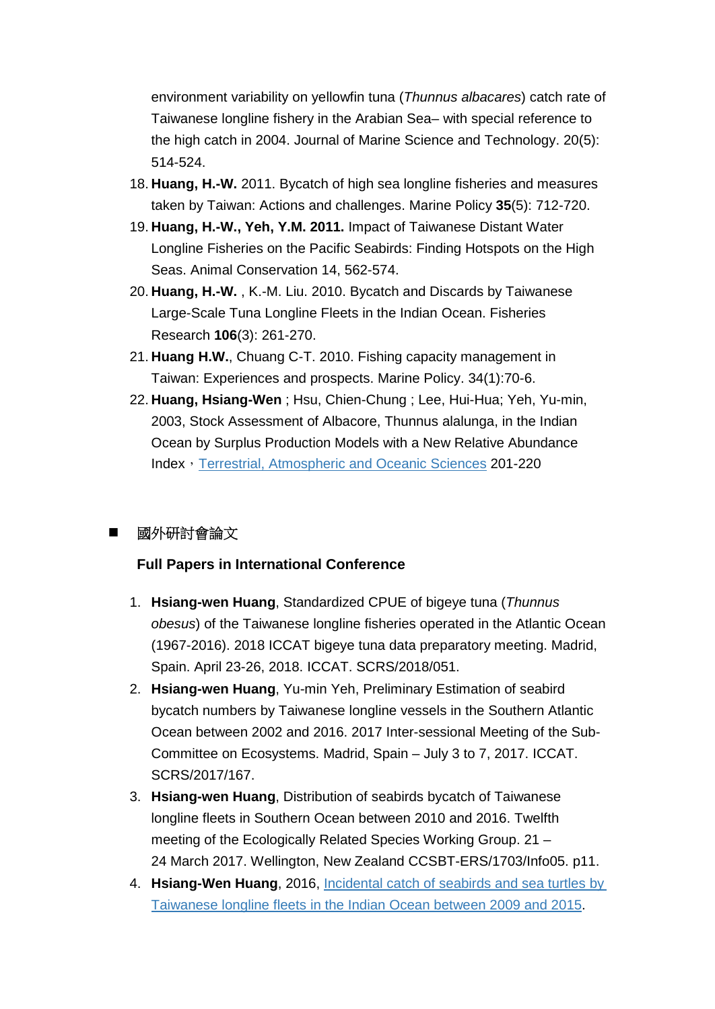environment variability on yellowfin tuna (*Thunnus albacares*) catch rate of Taiwanese longline fishery in the Arabian Sea– with special reference to the high catch in 2004. Journal of Marine Science and Technology. 20(5): 514-524.

- 18. **Huang, H.-W.** 2011. Bycatch of high sea longline fisheries and measures taken by Taiwan: Actions and challenges. Marine Policy **35**(5): 712-720.
- 19. **Huang, H.-W., Yeh, Y.M. 2011.** Impact of Taiwanese Distant Water Longline Fisheries on the Pacific Seabirds: Finding Hotspots on the High Seas. Animal Conservation 14, 562-574.
- 20. **Huang, H.-W.** , K.-M. Liu. 2010. Bycatch and Discards by Taiwanese Large-Scale Tuna Longline Fleets in the Indian Ocean. Fisheries Research **106**(3): 261-270.
- 21. **Huang H.W.**, Chuang C-T. 2010. Fishing capacity management in Taiwan: Experiences and prospects. Marine Policy. 34(1):70-6.
- 22. **Huang, Hsiang-Wen** ; Hsu, Chien-Chung ; Lee, Hui-Hua; Yeh, Yu-min, 2003, Stock Assessment of Albacore, Thunnus alalunga, in the Indian Ocean by Surplus Production Models with a New Relative Abundance Index, [Terrestrial, Atmospheric and Oceanic Sciences](http://readopac1.ncl.edu.tw/ncl3/search_result.jsp?input_str=90017904&all=JI&la=c) 201-220

# 國外研討會論文

# **Full Papers in International Conference**

- 1. **Hsiang-wen Huang**, Standardized CPUE of bigeye tuna (*Thunnus obesus*) of the Taiwanese longline fisheries operated in the Atlantic Ocean (1967-2016). 2018 ICCAT bigeye tuna data preparatory meeting. Madrid, Spain. April 23-26, 2018. ICCAT. SCRS/2018/051.
- 2. **Hsiang-wen Huang**, Yu-min Yeh, Preliminary Estimation of seabird bycatch numbers by Taiwanese longline vessels in the Southern Atlantic Ocean between 2002 and 2016. 2017 Inter-sessional Meeting of the Sub-Committee on Ecosystems. Madrid, Spain – July 3 to 7, 2017. ICCAT. SCRS/2017/167.
- 3. **Hsiang-wen Huang**, Distribution of seabirds bycatch of Taiwanese longline fleets in Southern Ocean between 2010 and 2016. Twelfth meeting of the Ecologically Related Species Working Group. 21 – 24 March 2017. Wellington, New Zealand CCSBT-ERS/1703/Info05. p11.
- 4. **Hsiang-Wen Huang**, 2016, [Incidental catch of seabirds and sea turtles by](http://www.iotc.org/documents/incidental-catch-seabirds-and-sea-turtles-taiwanese-longline-fleets-indian-ocean-between)  [Taiwanese longline fleets in the Indian Ocean between 2009 and 2015.](http://www.iotc.org/documents/incidental-catch-seabirds-and-sea-turtles-taiwanese-longline-fleets-indian-ocean-between)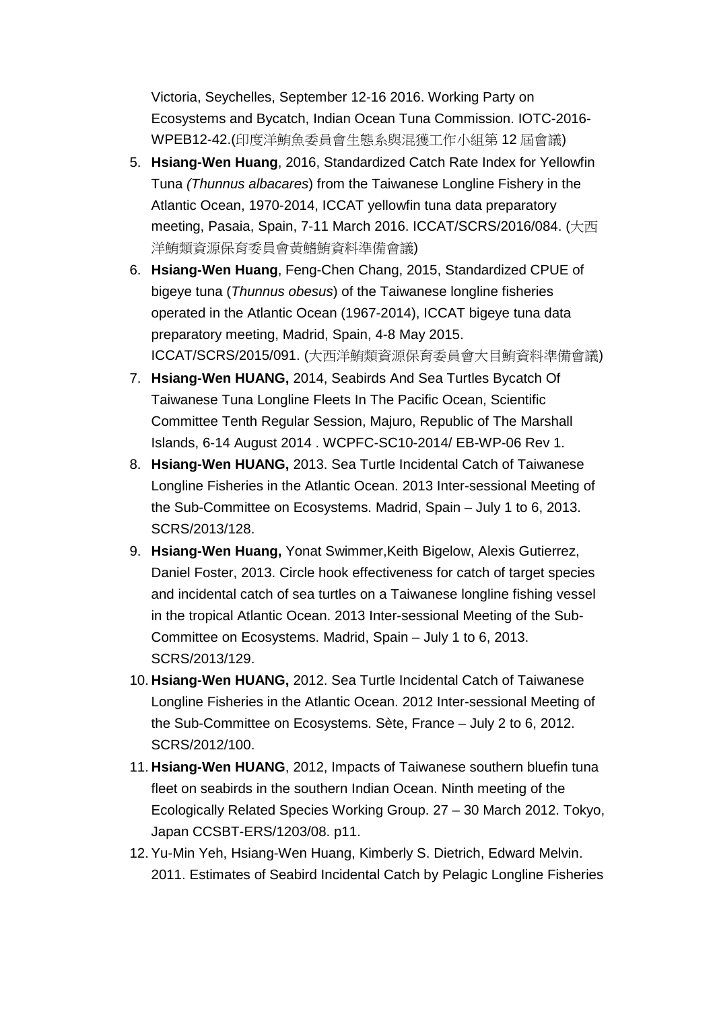Victoria, Seychelles, September 12-16 2016. Working Party on Ecosystems and Bycatch, Indian Ocean Tuna Commission. IOTC-2016- WPEB12-42.(印度洋鮪魚委員會生態系與混獲工作小組第 12 屆會議)

- 5. **Hsiang-Wen Huang**, 2016, Standardized Catch Rate Index for Yellowfin Tuna *(Thunnus albacares*) from the Taiwanese Longline Fishery in the Atlantic Ocean, 1970-2014, ICCAT yellowfin tuna data preparatory meeting, Pasaia, Spain, 7-11 March 2016. ICCAT/SCRS/2016/084. (大西 洋鮪類資源保育委員會黃鰭鮪資料準備會議)
- 6. **Hsiang-Wen Huang**, Feng-Chen Chang, 2015, Standardized CPUE of bigeye tuna (*Thunnus obesus*) of the Taiwanese longline fisheries operated in the Atlantic Ocean (1967-2014), ICCAT bigeye tuna data preparatory meeting, Madrid, Spain, 4-8 May 2015. ICCAT/SCRS/2015/091. (大西洋鮪類資源保育委員會大目鮪資料準備會議)
- 7. **Hsiang-Wen HUANG,** 2014, Seabirds And Sea Turtles Bycatch Of Taiwanese Tuna Longline Fleets In The Pacific Ocean, Scientific Committee Tenth Regular Session, Majuro, Republic of The Marshall Islands, 6-14 August 2014 . WCPFC-SC10-2014/ EB-WP-06 Rev 1.
- 8. **Hsiang-Wen HUANG,** 2013. Sea Turtle Incidental Catch of Taiwanese Longline Fisheries in the Atlantic Ocean. 2013 Inter-sessional Meeting of the Sub-Committee on Ecosystems. Madrid, Spain – July 1 to 6, 2013. SCRS/2013/128.
- 9. **Hsiang-Wen Huang,** Yonat Swimmer,Keith Bigelow, Alexis Gutierrez, Daniel Foster, 2013. Circle hook effectiveness for catch of target species and incidental catch of sea turtles on a Taiwanese longline fishing vessel in the tropical Atlantic Ocean. 2013 Inter-sessional Meeting of the Sub-Committee on Ecosystems. Madrid, Spain – July 1 to 6, 2013. SCRS/2013/129.
- 10. **Hsiang-Wen HUANG,** 2012. Sea Turtle Incidental Catch of Taiwanese Longline Fisheries in the Atlantic Ocean. 2012 Inter-sessional Meeting of the Sub-Committee on Ecosystems. Sète, France – July 2 to 6, 2012. SCRS/2012/100.
- 11. **Hsiang-Wen HUANG**, 2012, Impacts of Taiwanese southern bluefin tuna fleet on seabirds in the southern Indian Ocean. Ninth meeting of the Ecologically Related Species Working Group. 27 – 30 March 2012. Tokyo, Japan CCSBT-ERS/1203/08. p11.
- 12. Yu-Min Yeh, Hsiang-Wen Huang, Kimberly S. Dietrich, Edward Melvin. 2011. Estimates of Seabird Incidental Catch by Pelagic Longline Fisheries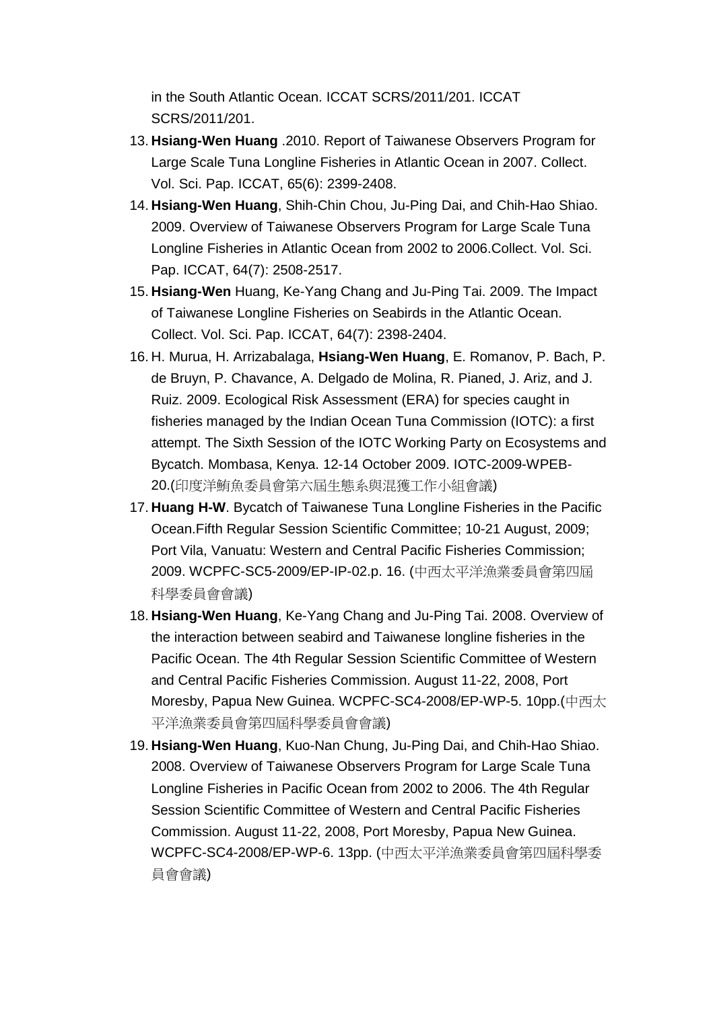in the South Atlantic Ocean. ICCAT SCRS/2011/201. ICCAT SCRS/2011/201.

- 13. **Hsiang-Wen Huang** .2010. Report of Taiwanese Observers Program for Large Scale Tuna Longline Fisheries in Atlantic Ocean in 2007. Collect. Vol. Sci. Pap. ICCAT, 65(6): 2399-2408.
- 14. **Hsiang-Wen Huang**, Shih-Chin Chou, Ju-Ping Dai, and Chih-Hao Shiao. 2009. Overview of Taiwanese Observers Program for Large Scale Tuna Longline Fisheries in Atlantic Ocean from 2002 to 2006.Collect. Vol. Sci. Pap. ICCAT, 64(7): 2508-2517.
- 15. **Hsiang-Wen** Huang, Ke-Yang Chang and Ju-Ping Tai. 2009. The Impact of Taiwanese Longline Fisheries on Seabirds in the Atlantic Ocean. Collect. Vol. Sci. Pap. ICCAT, 64(7): 2398-2404.
- 16. H. Murua, H. Arrizabalaga, **Hsiang-Wen Huang**, E. Romanov, P. Bach, P. de Bruyn, P. Chavance, A. Delgado de Molina, R. Pianed, J. Ariz, and J. Ruiz. 2009. Ecological Risk Assessment (ERA) for species caught in fisheries managed by the Indian Ocean Tuna Commission (IOTC): a first attempt. The Sixth Session of the IOTC Working Party on Ecosystems and Bycatch. Mombasa, Kenya. 12-14 October 2009. IOTC-2009-WPEB-20.(印度洋鮪魚委員會第六屆生態系與混獲工作小組會議)
- 17. **Huang H-W**. Bycatch of Taiwanese Tuna Longline Fisheries in the Pacific Ocean.Fifth Regular Session Scientific Committee; 10-21 August, 2009; Port Vila, Vanuatu: Western and Central Pacific Fisheries Commission; 2009. WCPFC-SC5-2009/EP-IP-02.p. 16. (中西太平洋漁業委員會第四屆 科學委員會會議)
- 18. **Hsiang-Wen Huang**, Ke-Yang Chang and Ju-Ping Tai. 2008. Overview of the interaction between seabird and Taiwanese longline fisheries in the Pacific Ocean. The 4th Regular Session Scientific Committee of Western and Central Pacific Fisheries Commission. August 11-22, 2008, Port Moresby, Papua New Guinea. WCPFC-SC4-2008/EP-WP-5. 10pp.(中西太 平洋漁業委員會第四屆科學委員會會議)
- 19. **Hsiang-Wen Huang**, Kuo-Nan Chung, Ju-Ping Dai, and Chih-Hao Shiao. 2008. Overview of Taiwanese Observers Program for Large Scale Tuna Longline Fisheries in Pacific Ocean from 2002 to 2006. The 4th Regular Session Scientific Committee of Western and Central Pacific Fisheries Commission. August 11-22, 2008, Port Moresby, Papua New Guinea. WCPFC-SC4-2008/EP-WP-6. 13pp. (中西太平洋漁業委員會第四屆科學委 員會會議)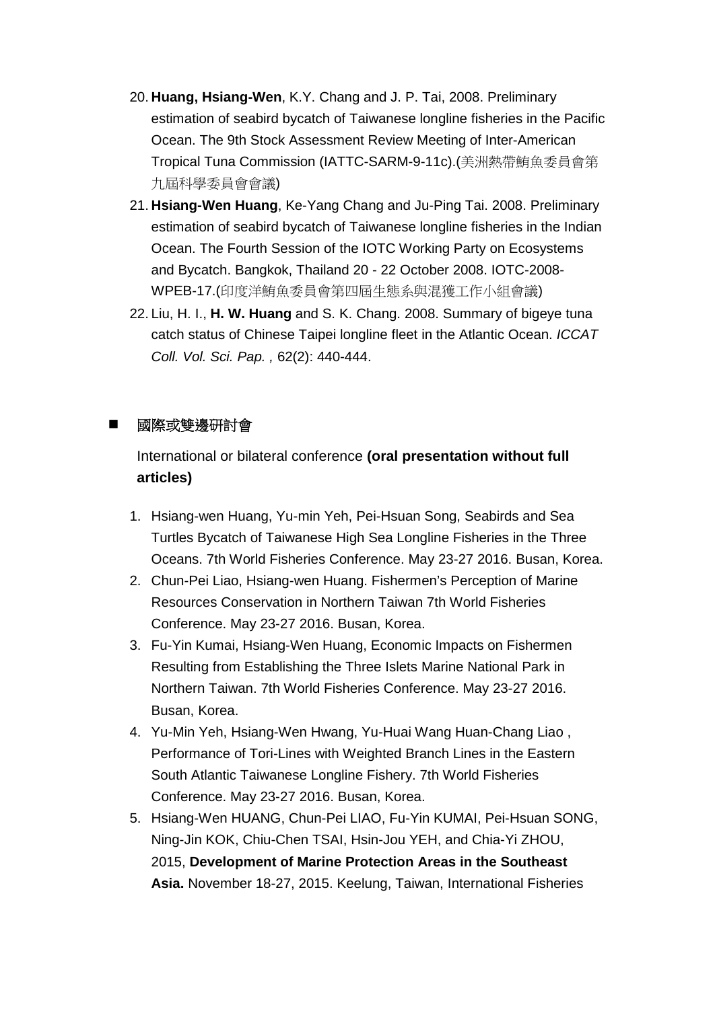- 20. **Huang, Hsiang-Wen**, K.Y. Chang and J. P. Tai, 2008. Preliminary estimation of seabird bycatch of Taiwanese longline fisheries in the Pacific Ocean. The 9th Stock Assessment Review Meeting of Inter-American Tropical Tuna Commission (IATTC-SARM-9-11c).(美洲熱帶鮪魚委員會第 九屆科學委員會會議)
- 21. **Hsiang-Wen Huang**, Ke-Yang Chang and Ju-Ping Tai. 2008. Preliminary estimation of seabird bycatch of Taiwanese longline fisheries in the Indian Ocean. The Fourth Session of the IOTC Working Party on Ecosystems and Bycatch. Bangkok, Thailand 20 - 22 October 2008. IOTC-2008- WPEB-17.(印度洋鮪魚委員會第四屆生態系與混獲工作小組會議)
- 22. Liu, H. I., **H. W. Huang** and S. K. Chang. 2008. Summary of bigeye tuna catch status of Chinese Taipei longline fleet in the Atlantic Ocean. *ICCAT Coll. Vol. Sci. Pap. ,* 62(2): 440-444.

# 國際或雙邊研討會

International or bilateral conference **(oral presentation without full articles)**

- 1. Hsiang-wen Huang, Yu-min Yeh, Pei-Hsuan Song, Seabirds and Sea Turtles Bycatch of Taiwanese High Sea Longline Fisheries in the Three Oceans. 7th World Fisheries Conference. May 23-27 2016. Busan, Korea.
- 2. Chun-Pei Liao, Hsiang-wen Huang. Fishermen's Perception of Marine Resources Conservation in Northern Taiwan 7th World Fisheries Conference. May 23-27 2016. Busan, Korea.
- 3. Fu-Yin Kumai, Hsiang-Wen Huang, Economic Impacts on Fishermen Resulting from Establishing the Three Islets Marine National Park in Northern Taiwan. 7th World Fisheries Conference. May 23-27 2016. Busan, Korea.
- 4. Yu-Min Yeh, Hsiang-Wen Hwang, Yu-Huai Wang Huan-Chang Liao , Performance of Tori-Lines with Weighted Branch Lines in the Eastern South Atlantic Taiwanese Longline Fishery. 7th World Fisheries Conference. May 23-27 2016. Busan, Korea.
- 5. Hsiang-Wen HUANG, Chun-Pei LIAO, Fu-Yin KUMAI, Pei-Hsuan SONG, Ning-Jin KOK, Chiu-Chen TSAI, Hsin-Jou YEH, and Chia-Yi ZHOU, 2015, **Development of Marine Protection Areas in the Southeast Asia.** November 18-27, 2015. Keelung, Taiwan, International Fisheries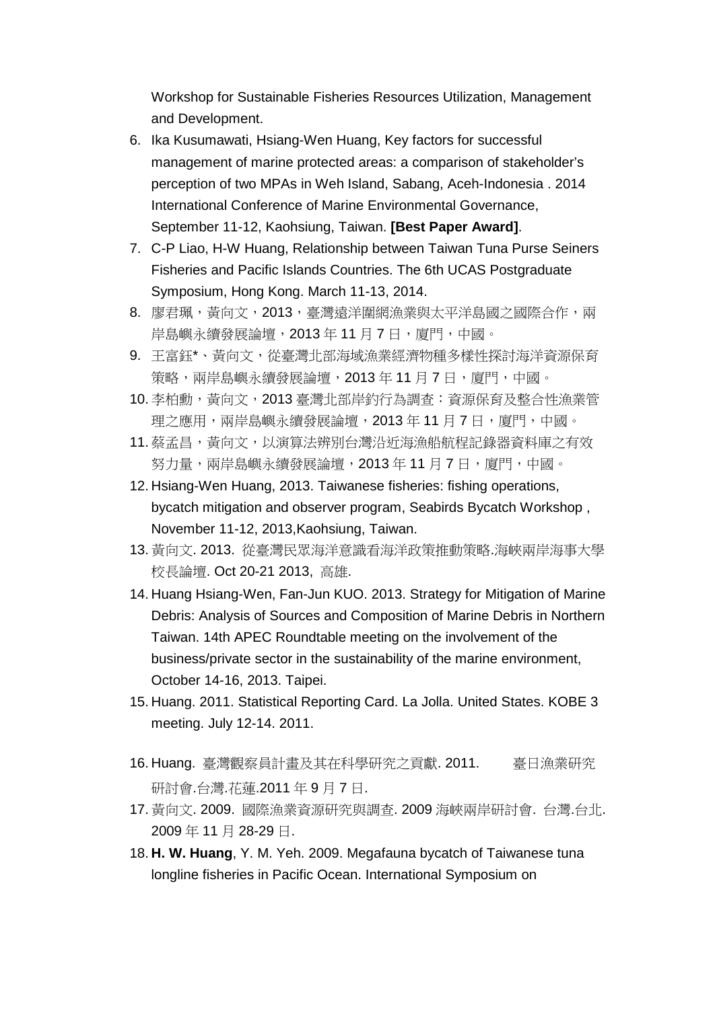Workshop for Sustainable Fisheries Resources Utilization, Management and Development.

- 6. Ika Kusumawati, Hsiang-Wen Huang, Key factors for successful management of marine protected areas: a comparison of stakeholder's perception of two MPAs in Weh Island, Sabang, Aceh-Indonesia . 2014 International Conference of Marine Environmental Governance, September 11-12, Kaohsiung, Taiwan. **[Best Paper Award]**.
- 7. C-P Liao, H-W Huang, Relationship between Taiwan Tuna Purse Seiners Fisheries and Pacific Islands Countries. The 6th UCAS Postgraduate Symposium, Hong Kong. March 11-13, 2014.
- 8. 廖君珮,黃向文,2013,臺灣遠洋圍網漁業與太平洋島國之國際合作,兩 岸島嶼永續發展論壇, 2013年11月7日,廈門,中國。
- 9. 王富鈺\*、黃向文,從臺灣北部海域漁業經濟物種多樣性探討海洋資源保育 策略,兩岸島嶼永續發展論壇,2013年11月7日,廈門,中國。
- 10. 李柏勳, 黃向文, 2013 臺灣北部岸釣行為調查: 資源保育及整合性漁業管 理之應用,兩岸島嶼永續發展論壇,2013年11月7日,廈門,中國。
- 11. 蔡孟昌,黃向文,以演算法辨別台灣沿近海漁船航程記錄器資料庫之有效 努力量,兩岸島嶼永續發展論壇,2013 年 11 月 7 日,廈門,中國。
- 12. Hsiang-Wen Huang, 2013. Taiwanese fisheries: fishing operations, bycatch mitigation and observer program, Seabirds Bycatch Workshop , November 11-12, 2013,Kaohsiung, Taiwan.
- 13. 黃向文. 2013. 從臺灣民眾海洋意識看海洋政策推動策略.海峽兩岸海事大學 校長論壇. Oct 20-21 2013, 高雄.
- 14. Huang Hsiang-Wen, Fan-Jun KUO. 2013. Strategy for Mitigation of Marine Debris: Analysis of Sources and Composition of Marine Debris in Northern Taiwan. 14th APEC Roundtable meeting on the involvement of the business/private sector in the sustainability of the marine environment, October 14-16, 2013. Taipei.
- 15. Huang. 2011. Statistical Reporting Card. La Jolla. United States. KOBE 3 meeting. July 12-14. 2011.
- 16. Huang. 臺灣觀察員計畫及其在科學研究之貢獻. 2011. 臺日漁業研究 研討會.台灣.花蓮.2011 年 9 月 7 日.
- 17. 黃向文. 2009. 國際漁業資源研究與調查. 2009 海峽兩岸研討會. 台灣.台北. 2009 年 11 月 28-29 日.
- 18. **H. W. Huang**, Y. M. Yeh. 2009. Megafauna bycatch of Taiwanese tuna longline fisheries in Pacific Ocean. International Symposium on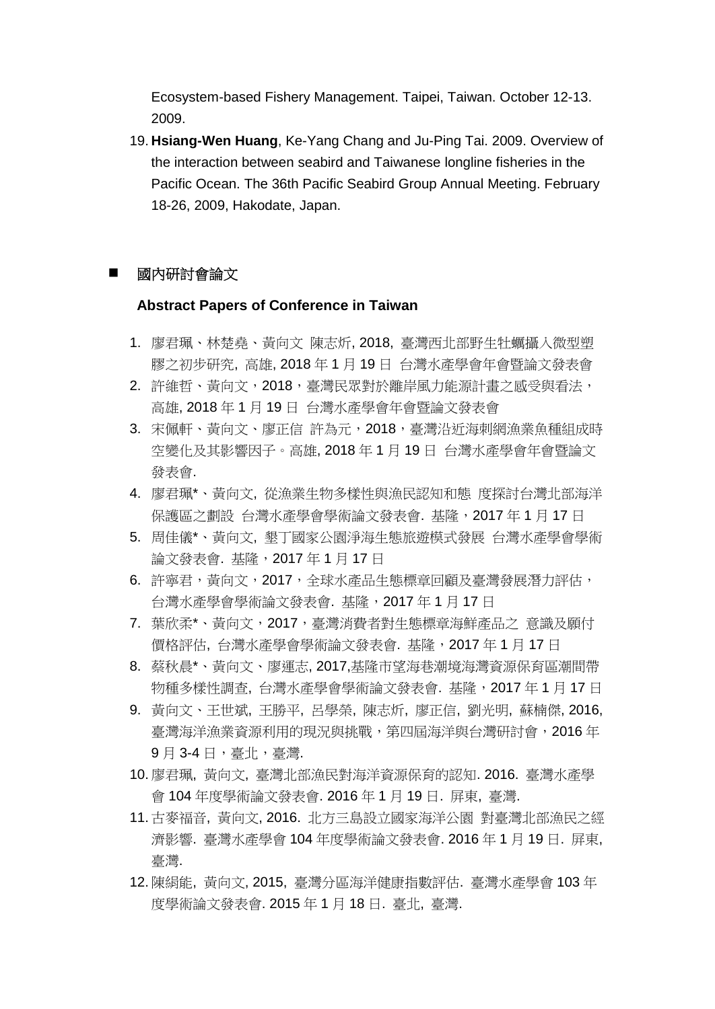Ecosystem-based Fishery Management. Taipei, Taiwan. October 12-13. 2009.

19. **Hsiang-Wen Huang**, Ke-Yang Chang and Ju-Ping Tai. 2009. Overview of the interaction between seabird and Taiwanese longline fisheries in the Pacific Ocean. The 36th Pacific Seabird Group Annual Meeting. February 18-26, 2009, Hakodate, Japan.

# 國內研討會論文

### **Abstract Papers of Conference in Taiwan**

- 1. 廖君珮、林楚堯、黃向文 陳志炘, 2018, 臺灣西北部野生牡蠣攝入微型塑 膠之初步研究, 高雄, 2018 年 1 月 19 日 台灣水產學會年會暨論文發表會
- 2. 許維哲、黃向文,2018,臺灣民眾對於離岸風力能源計畫之感受與看法, 高雄, 2018 年 1 月 19 日 台灣水產學會年會暨論文發表會
- 3. 宋佩軒、黃向文、廖正信 許為元,2018,臺灣沿近海刺網漁業魚種組成時 空變化及其影響因子。高雄, 2018 年 1 月 19 日 台灣水產學會年會暨論文 發表會.
- 4. 廖君珮\*、黃向文, 從漁業生物多樣性與漁民認知和態 度探討台灣北部海洋 保護區之劃設 台灣水產學會學術論文發表會. 基隆, 2017年1月17日
- 5. 周佳儀\*、黃向文, 墾丁國家公園淨海生態旅遊模式發展 台灣水產學會學術 論文發表會. 基隆,2017 年 1 月 17 日
- 6. 許寧君,黃向文,2017,全球水產品生態標章回顧及臺灣發展潛力評估, 台灣水產學會學術論文發表會. 基隆,2017 年 1 月 17 日
- 7. 葉欣柔\*、黃向文,2017, 臺灣消費者對生態標章海鮮產品之 意識及願付 價格評估, 台灣水產學會學術論文發表會. 基隆,2017 年 1 月 17 日
- 8. 蔡秋晨\*、黃向文、廖運志, 2017,基隆市望海巷潮境海灣資源保育區潮間帶 物種多樣性調查, 台灣水產學會學術論文發表會. 基隆, 2017年1月17日
- 9. 黃向文、王世斌, 王勝平, 呂學榮, 陳志炘, 廖正信, 劉光明, 蘇楠傑, 2016, 臺灣海洋漁業資源利用的現況與挑戰,第四屆海洋與台灣研討會,2016 年 9 月 3-4 日,臺北,臺灣.
- 10. 廖君珮, 黃向文, 臺灣北部漁民對海洋資源保育的認知. 2016. 臺灣水產學 會 104 年度學術論文發表會. 2016 年 1 月 19 日. 屏東, 臺灣.
- 11. 古麥福音, 黃向文, 2016. 北方三島設立國家海洋公園 對臺灣北部漁民之經 濟影響. 臺灣水產學會 104 年度學術論文發表會. 2016 年 1 月 19 日. 屏東, 臺灣.
- 12. 陳絹能, 黃向文, 2015, 臺灣分區海洋健康指數評估. 臺灣水產學會 103 年 度學術論文發表會. 2015 年 1 月 18 日. 臺北, 臺灣.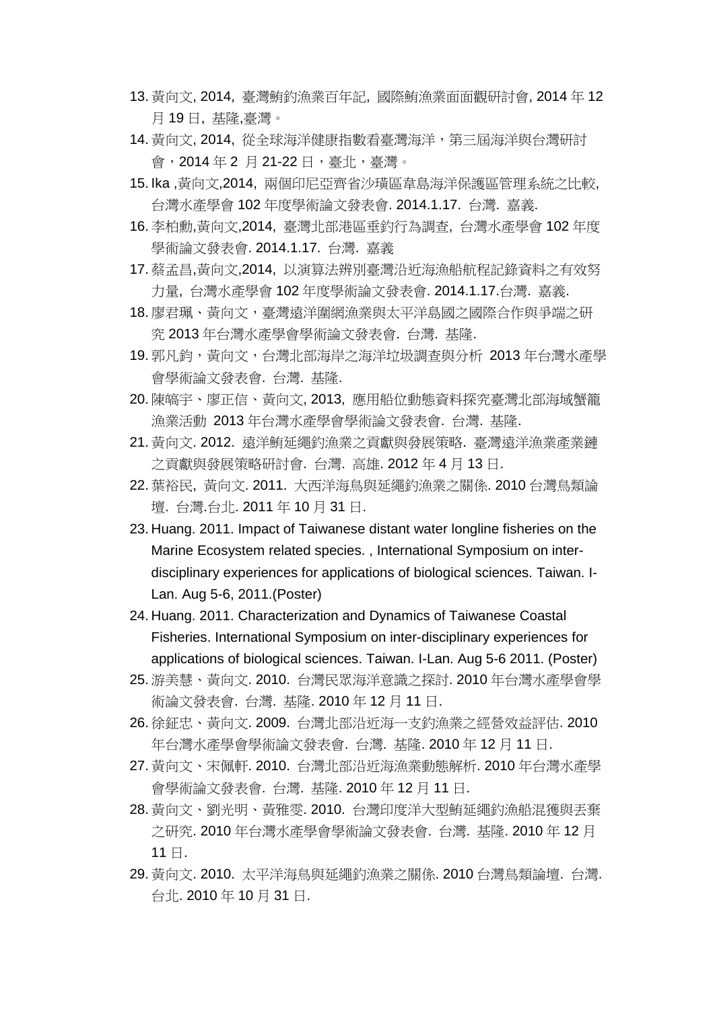- 13. 黃向文, 2014, 臺灣鮪釣漁業百年記, 國際鮪漁業面面觀研討會, 2014 年 12 月 19 日, 基隆,臺灣。
- 14. 黃向文, 2014, 從全球海洋健康指數看臺灣海洋,第三屆海洋與台灣研討 會, 2014年2月21-22日, 臺北, 臺灣。
- 15. Ika ,黃向文,2014, 兩個印尼亞齊省沙璜區韋島海洋保護區管理系統之比較, 台灣水產學會 102 年度學術論文發表會. 2014.1.17. 台灣. 嘉義.
- 16. 李柏勳,黃向文,2014, 臺灣北部港區垂釣行為調查, 台灣水產學會 102 年度 學術論文發表會. 2014.1.17. 台灣. 嘉義
- 17. 蔡孟昌,黃向文,2014, 以演算法辨別臺灣沿近海漁船航程記錄資料之有效努 力量, 台灣水產學會 102 年度學術論文發表會. 2014.1.17.台灣. 嘉義.
- 18. 廖君珮、黃向文,臺灣遠洋圍網漁業與太平洋島國之國際合作與爭端之研 究 2013 年台灣水產學會學術論文發表會. 台灣. 基隆.
- 19. 郭凡鈞,黃向文, 台灣北部海岸之海洋垃圾調查與分析 2013 年台灣水產學 會學術論文發表會. 台灣. 基隆.
- 20. 陳皜宇、廖正信、黃向文, 2013, 應用船位動態資料探究臺灣北部海域蟹籠 漁業活動 2013 年台灣水產學會學術論文發表會. 台灣. 基隆.
- 21. 黃向文. 2012. 遠洋鮪延繩釣漁業之貢獻與發展策略. 臺灣遠洋漁業產業鏈 之貢獻與發展策略研討會. 台灣. 高雄. 2012 年 4 月 13 日.
- 22. 葉裕民, 黃向文. 2011. 大西洋海鳥與延繩釣漁業之關係. 2010 台灣鳥類論 壇. 台灣.台北. 2011 年 10 月 31 日.
- 23. Huang. 2011. Impact of Taiwanese distant water longline fisheries on the Marine Ecosystem related species. , International Symposium on interdisciplinary experiences for applications of biological sciences. Taiwan. I-Lan. Aug 5-6, 2011.(Poster)
- 24. Huang. 2011. Characterization and Dynamics of Taiwanese Coastal Fisheries. International Symposium on inter-disciplinary experiences for applications of biological sciences. Taiwan. I-Lan. Aug 5-6 2011. (Poster)
- 25. 游美慧、黃向文. 2010. 台灣民眾海洋意識之探討. 2010 年台灣水產學會學 術論文發表會. 台灣. 基隆. 2010 年 12 月 11 日.
- 26. 徐鉦忠、黃向文. 2009. 台灣北部沿近海一支釣漁業之經營效益評估. 2010 年台灣水產學會學術論文發表會. 台灣. 基隆. 2010 年 12 月 11 日.
- 27. 黃向文、宋佩軒. 2010. 台灣北部沿近海漁業動態解析. 2010 年台灣水產學 會學術論文發表會. 台灣. 基隆. 2010 年 12 月 11 日.
- 28. 黃向文、劉光明、黃雅雯. 2010. 台灣印度洋大型鮪延繩釣漁船混獲與丟棄 之研究. 2010 年台灣水產學會學術論文發表會. 台灣. 基隆. 2010 年 12 月 11 日.
- 29. 黃向文. 2010. 太平洋海鳥與延繩釣漁業之關係. 2010 台灣鳥類論壇. 台灣. 台北. 2010 年 10 月 31 日.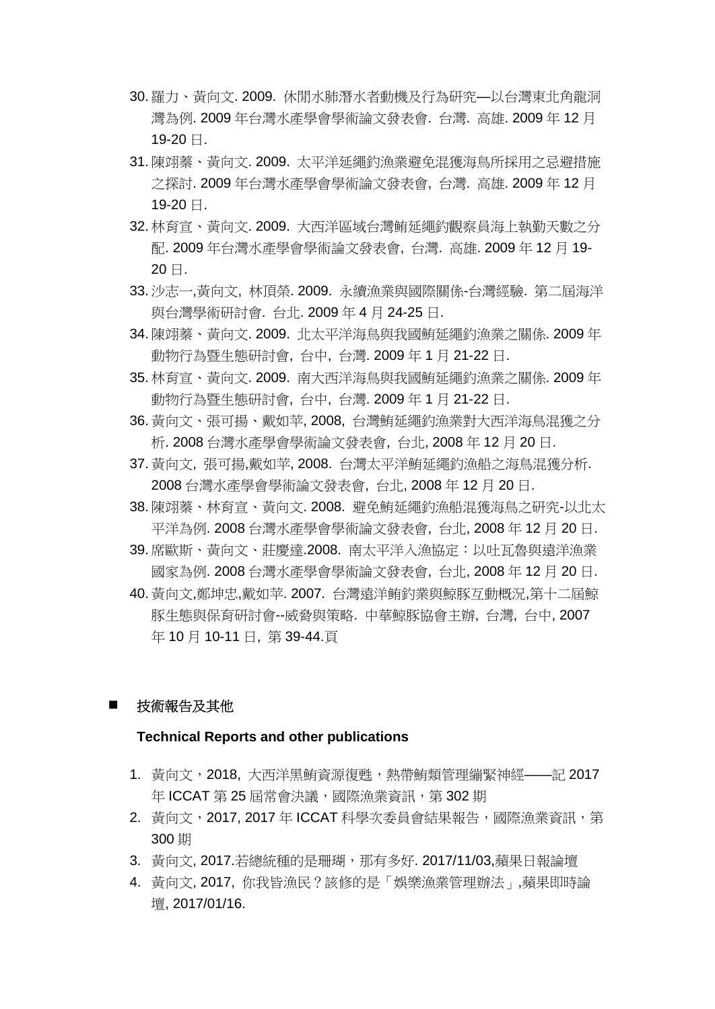- 30. 羅力、黃向文. 2009. 休閒水肺潛水者動機及行為研究—以台灣東北角龍洞 灣為例. 2009 年台灣水產學會學術論文發表會. 台灣. 高雄. 2009 年 12 月 19-20 日.
- 31. 陳翊蓁、黃向文. 2009. 太平洋延繩釣漁業避免混獲海鳥所採用之忌避措施 之探討. 2009 年台灣水產學會學術論文發表會, 台灣. 高雄. 2009 年 12 月 19-20 日.
- 32. 林育宣、黃向文. 2009. 大西洋區域台灣鲔延繩釣觀察員海上執勤天數之分 配. 2009 年台灣水產學會學術論文發表會, 台灣. 高雄. 2009 年 12 月 19- 20 日.
- 33. 沙志一,黃向文, 林頂榮. 2009. 永續漁業與國際關係-台灣經驗. 第二屆海洋 與台灣學術研討會. 台北. 2009 年 4 月 24-25 日.
- 34. 陳翊蓁、黃向文. 2009. 北太平洋海鳥與我國鮪延繩釣漁業之關係. 2009 年 動物行為暨生態研討會, 台中, 台灣. 2009 年 1 月 21-22 日.
- 35. 林育宣、黃向文. 2009. 南大西洋海鳥與我國鮪延繩釣漁業之關係. 2009 年 動物行為暨生態研討會, 台中, 台灣. 2009 年 1 月 21-22 日.
- 36. 黃向文、張可揚、戴如苹, 2008, 台灣鮪延繩釣漁業對大西洋海鳥混獲之分 析. 2008 台灣水產學會學術論文發表會, 台北, 2008 年 12 月 20 日.
- 37. 黃向文, 張可揚,戴如苹, 2008. 台灣太平洋鮪延繩釣漁船之海鳥混獲分析. 2008 台灣水產學會學術論文發表會, 台北, 2008 年 12 月 20 日.
- 38. 陳翊蓁、林育宣、黃向文. 2008. 避免鮪延繩釣漁船混獲海鳥之研究-以北太 平洋為例. 2008 台灣水產學會學術論文發表會, 台北, 2008 年 12 月 20 日.
- 39. 席歐斯、黃向文、莊慶達.2008. 南太平洋入漁協定:以吐瓦魯與遠洋漁業 國家為例. 2008 台灣水產學會學術論文發表會, 台北, 2008 年 12 月 20 日.
- 40. 黃向文,鄭坤忠,戴如苹. 2007. 台灣遠洋鲔釣業與鯨豚互動概況,第十二屆鯨 豚生態與保育研討會--威脅與策略. 中華鯨豚協會主辦, 台灣, 台中, 2007 年 10 月 10-11 日, 第 39-44.頁

### 技術報告及其他

### **Technical Reports and other publications**

- 1. 黃向文, 2018, 大西洋黑鮪資源復甦, 熱帶鮪類管理繃緊神經——記 2017 年 ICCAT 第 25 屆常會決議,國際漁業資訊,第 302 期
- 2. 黃向文,2017, 2017 年 ICCAT 科學次委員會結果報告,國際漁業資訊,第 300 期
- 3. 黃向文, 2017.若總統種的是珊瑚,那有多好. 2017/11/03,蘋果日報論壇
- 4. 黃向文, 2017, 你我皆漁民?該修的是「娛樂漁業管理辦法」,蘋果即時論 壇, 2017/01/16.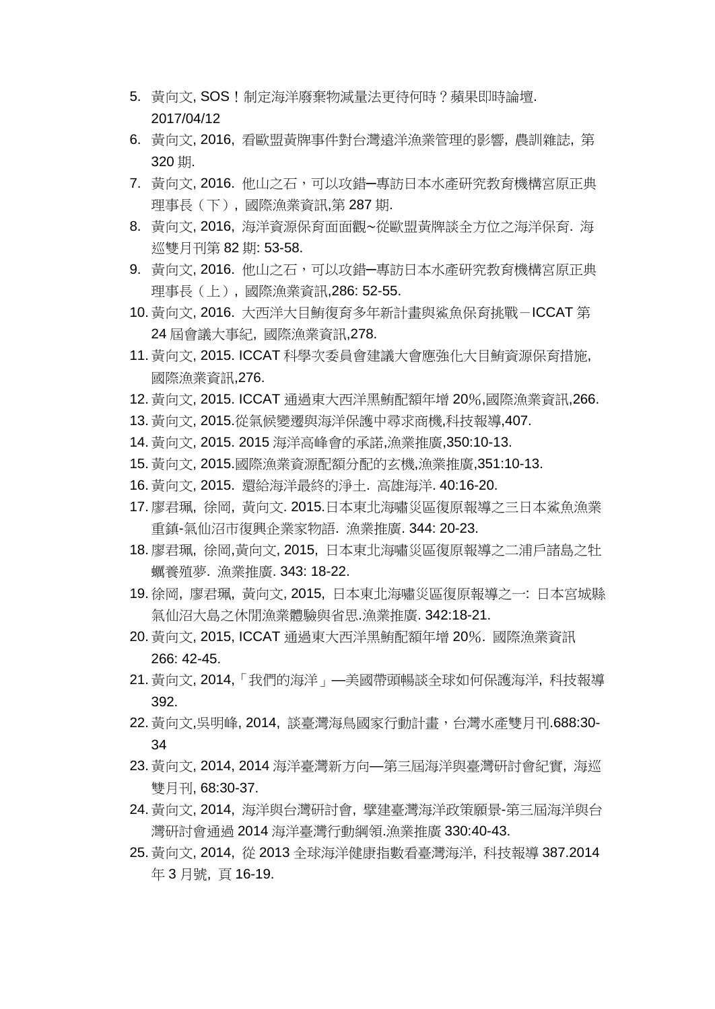- 5. 黃向文, SOS! 制定海洋廢棄物減量法更待何時? 蘋果即時論壇. 2017/04/12
- 6. 黃向文, 2016, 看歐盟黃牌事件對台灣遠洋漁業管理的影響, 農訓雜誌, 第 320 期.
- 7. 黃向文, 2016. 他山之石,可以攻錯一專訪日本水產研究教育機構宮原正典 理事長(下), 國際漁業資訊,第 287 期.
- 8. 黃向文, 2016, 海洋資源保育面面觀∼從歐盟黃牌談全方位之海洋保育. 海 巡雙月刊第 82 期: 53-58.
- 9. 黃向文, 2016. 他山之石,可以攻錯一專訪日本水產研究教育機構宮原正典 理事長(上), 國際漁業資訊,286: 52-55.
- 10. 黃向文, 2016. 大西洋大目鮪復育多年新計畫與鯊魚保育挑戰-ICCAT 第 24 屆會議大事紀, 國際漁業資訊,278.
- 11. 黃向文, 2015. ICCAT 科學次委員會建議大會應強化大目鮪資源保育措施, 國際漁業資訊,276.
- 12. 黃向文, 2015. ICCAT 通過東大西洋黑鮪配額年增 20%,國際漁業資訊,266.
- 13. 黃向文, 2015.從氣候變遷與海洋保護中尋求商機,科技報導,407.
- 14. 黃向文, 2015. 2015 海洋高峰會的承諾,漁業推廣,350:10-13.
- 15. 黃向文, 2015.國際漁業資源配額分配的玄機,漁業推廣,351:10-13.
- 16. 黃向文, 2015. 還給海洋最終的淨土. 高雄海洋. 40:16-20.
- 17. 廖君珮, 徐岡, 黃向文. 2015.日本東北海嘯災區復原報導之三日本鯊魚漁業 重鎮-氣仙沼市復興企業家物語. 漁業推廣. 344: 20-23.
- 18. 廖君珮, 徐岡,黃向文, 2015, 日本東北海嘯災區復原報導之二浦戶諸島之牡 蠣養殖夢. 漁業推廣. 343: 18-22.
- 19. 徐岡, 廖君珮, 黃向文, 2015, 日本東北海嘯災區復原報導之一: 日本宮城縣 氣仙沼大島之休閒漁業體驗與省思.漁業推廣. 342:18-21.
- 20. 黃向文, 2015, ICCAT 通過東大西洋黑鮪配額年增 20%. 國際漁業資訊 266: 42-45.
- 21. 黃向文, 2014,「我們的海洋」—美國帶頭暢談全球如何保護海洋, 科技報導 392.
- 22. 黃向文,吳明峰, 2014, 談臺灣海鳥國家行動計畫,台灣水產雙月刊.688:30- 34
- 23. 黃向文, 2014, 2014 海洋臺灣新方向—第三屆海洋與臺灣研討會紀實, 海巡 雙月刊, 68:30-37.
- 24. 黃向文, 2014, 海洋與台灣研討會, 擘建臺灣海洋政策願景-第三屆海洋與台 灣研討會通過 2014 海洋臺灣行動綱領.漁業推廣 330:40-43.
- 25. 黃向文, 2014, 從 2013 全球海洋健康指數看臺灣海洋, 科技報導 387.2014 年 3 月號, 頁 16-19.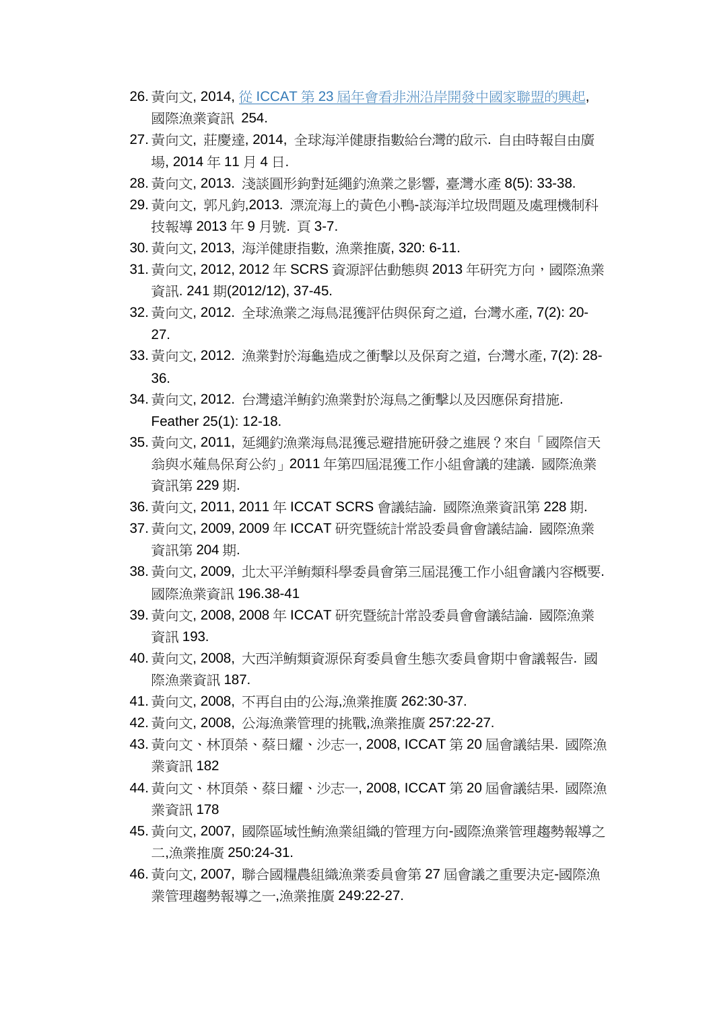- 26. 黃向文, 2014, 從 ICCAT 第 23 [屆年會看非洲沿岸開發中國家聯盟的興起](http://juliahan1121.blogspot.tw/2014/01/iccat23.html), 國際漁業資訊 254.
- 27. 黃向文, 莊慶達, 2014, 全球海洋健康指數給台灣的啟示. 自由時報自由廣 場, 2014 年 11 月 4 日.
- 28. 黃向文, 2013. 淺談圓形鉤對延繩釣漁業之影響, 臺灣水產 8(5): 33-38.
- 29. 黃向文, 郭凡鈞,2013. 漂流海上的黃色小鴨-談海洋垃圾問題及處理機制科 技報導 2013 年 9 月號. 頁 3-7.
- 30. 黃向文, 2013, 海洋健康指數, 漁業推廣, 320: 6-11.
- 31. 黃向文, 2012, 2012 年 SCRS 資源評估動態與 2013 年研究方向, 國際漁業 資訊. 241 期(2012/12), 37-45.
- 32. 黃向文, 2012. 全球漁業之海鳥混獲評估與保育之道, 台灣水產, 7(2): 20- 27.
- 33. 黃向文, 2012. 漁業對於海龜造成之衝擊以及保育之道, 台灣水產, 7(2): 28- 36.
- 34. 黃向文, 2012. 台灣遠洋鮪釣漁業對於海鳥之衝擊以及因應保育措施. Feather 25(1): 12-18.
- 35. 黃向文, 2011, 延繩釣漁業海鳥混獲忌避措施研發之進展?來自「國際信天 翁與水薙鳥保育公約」2011 年第四屆混獲工作小組會議的建議. 國際漁業 資訊第 229 期.
- 36. 黃向文, 2011, 2011 年 ICCAT SCRS 會議結論. 國際漁業資訊第 228 期.
- 37. 黃向文, 2009, 2009 年 ICCAT 研究暨統計常設委員會會議結論. 國際漁業 資訊第 204 期.
- 38. 黃向文, 2009, 北太平洋鮪類科學委員會第三屆混獲工作小組會議內容概要. 國際漁業資訊 196.38-41
- 39. 黃向文, 2008, 2008 年 ICCAT 研究暨統計常設委員會會議結論. 國際漁業 資訊 193.
- 40. 黃向文, 2008, 大西洋鮪類資源保育委員會生態次委員會期中會議報告. 國 際漁業資訊 187.
- 41. 黃向文, 2008, 不再自由的公海,漁業推廣 262:30-37.
- 42. 黃向文, 2008, 公海漁業管理的挑戰,漁業推廣 257:22-27.
- 43. 黃向文、林頂榮、蔡日耀、沙志一, 2008, ICCAT 第 20 屆會議結果. 國際漁 業資訊 182
- 44. 黃向文、林頂榮、蔡日耀、沙志一, 2008, ICCAT 第 20 屆會議結果. 國際漁 業資訊 178
- 45. 黃向文, 2007, 國際區域性鮪漁業組織的管理方向-國際漁業管理趨勢報導之 二,漁業推廣 250:24-31.
- 46. 黃向文, 2007, 聯合國糧農組織漁業委員會第 27 屆會議之重要決定-國際漁 業管理趨勢報導之一,漁業推廣 249:22-27.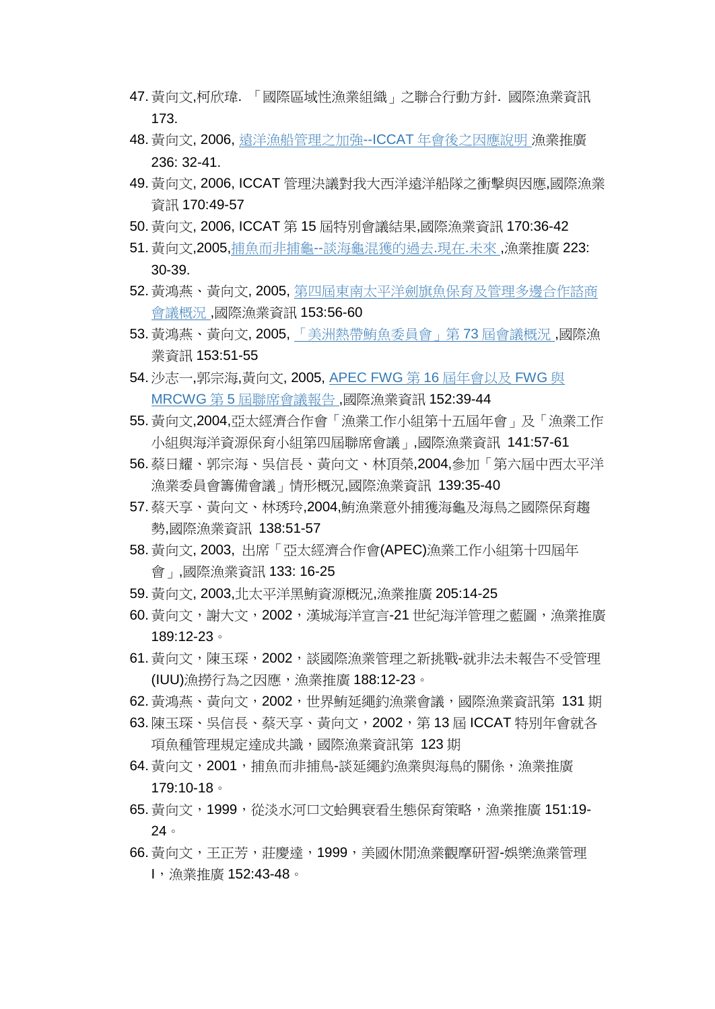- 47. 黃向文,柯欣瑋. 「國際區域性漁業組織」之聯合行動方針. 國際漁業資訊 173.
- 48. 黃向文, 2006, [遠洋漁船管理之加強](http://readopac1.ncl.edu.tw/ncl3/detail_result.jsp?la=c&data_num=22&item0=1&id0=0005849138&check_num=1)--ICCAT 年會後之因應說明 漁業推廣 236: 32-41.
- 49. 黃向文, 2006, ICCAT 管理決議對我大西洋遠洋船隊之衝擊與因應,國際漁業 資訊 170:49-57
- 50. 黃向文, 2006, ICCAT 第 15 屆特別會議結果,國際漁業資訊 170:36-42
- 51. 黃向文,2005,捕魚而非捕龜--[談海龜混獲的過去](http://readopac1.ncl.edu.tw/ncl3/detail_result.jsp?la=c&data_num=22&item0=5&id0=0005712285&check_num=1).現在.未來 ,漁業推廣 223: 30-39.
- 52. 黃鴻燕、黃向文, 2005, [第四屆東南太平洋劍旗魚保育及管理多邊合作諮商](http://readopac1.ncl.edu.tw/ncl3/detail_result.jsp?la=c&data_num=22&item0=2&id0=0005673020&check_num=1) [會議概況](http://readopac1.ncl.edu.tw/ncl3/detail_result.jsp?la=c&data_num=22&item0=2&id0=0005673020&check_num=1) ,國際漁業資訊 153:56-60
- 53. 黃鴻燕、黃向文, 2005, [「美洲熱帶鮪魚委員會」第](http://readopac1.ncl.edu.tw/ncl3/detail_result.jsp?la=c&data_num=22&item0=3&id0=0005673019&check_num=1) 73 屆會議概況 ,國際漁 業資訊 153:51-55
- 54. 沙志一,郭宗海,黃向文, 2005, [APEC FWG](http://readopac1.ncl.edu.tw/ncl3/detail_result.jsp?la=c&data_num=22&item0=4&id0=0005672378&check_num=1) 第 16 屆年會以及 FWG 與 MRCWG 第 5 [屆聯席會議報告](http://readopac1.ncl.edu.tw/ncl3/detail_result.jsp?la=c&data_num=22&item0=4&id0=0005672378&check_num=1) ,國際漁業資訊 152:39-44
- 55. 黃向文,2004,亞太經濟合作會「漁業工作小組第十五屆年會」及「漁業工作 小組與海洋資源保育小組第四屆聯席會議」,國際漁業資訊 141:57-61
- 56. 蔡日耀、郭宗海、吳信長、黃向文、林頂榮,2004,參加「第六屆中西太平洋 漁業委員會籌備會議」情形概況,國際漁業資訊 139:35-40
- 57. 蔡天享、黃向文、林琇玲,2004,鮪漁業意外捕獲海龜及海鳥之國際保育趨 勢,國際漁業資訊 138:51-57
- 58. 黃向文, 2003, 出席「亞太經濟合作會(APEC)漁業工作小組第十四屆年 會」,國際漁業資訊 133: 16-25
- 59. 黃向文, 2003,北太平洋黑鮪資源概況,漁業推廣 205:14-25
- 60. 黃向文,謝大文,2002,漢城海洋宣言-21 世紀海洋管理之藍圖,漁業推廣 189:12-23。
- 61. 黃向文,陳玉琛,2002,談國際漁業管理之新挑戰-就非法未報告不受管理 (IUU)漁撈行為之因應,漁業推廣 188:12-23。
- 62. 黃鴻燕、黃向文,2002,世界鮪延繩釣漁業會議,國際漁業資訊第 131 期
- 63. 陳玉琛、吳信長、蔡天享、黃向文,2002,第 13 屆 ICCAT 特別年會就各 項魚種管理規定達成共識,國際漁業資訊第 123 期
- 64. 黃向文, 2001, 捕魚而非捕鳥-談延繩釣漁業與海鳥的關係, 漁業推廣 179:10-18。
- 65. 黃向文,1999,從淡水河口文蛤興衰看生態保育策略,漁業推廣 151:19- 24。
- 66. 黃向文,王正芳,莊慶達,1999,美國休閒漁業觀摩研習-娛樂漁業管理 I,漁業推廣 152:43-48。